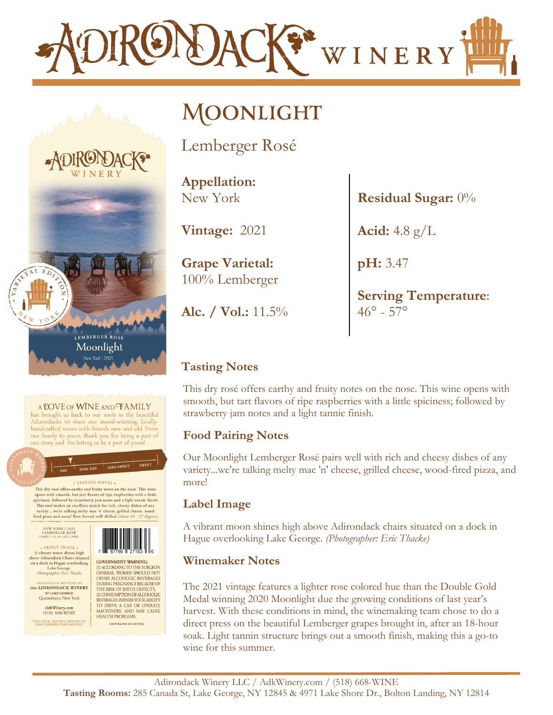

# **Moonlight**

Lemberger Rosé

**Appellation:** New York

**Vintage:** 2021

**Grape Varietal:** 100% Lemberger

**Alc. / Vol.:** 11.5%

**Residual Sugar:** 0%

**Acid:** 4.8 g/L

**pH:** 3.47

**Serving Temperature**:  $46^{\circ} - 57^{\circ}$ 

## **Tasting Notes**

This dry rosé offers earthy and fruity notes on the nose. This wine opens with smooth, but tart flavors of ripe raspberries with a little spiciness; followed by strawberry jam notes and a light tannic finish.

### **Food Pairing Notes**

Our Moonlight Lemberger Rosé pairs well with rich and cheesy dishes of any variety...we're talking melty mac 'n' cheese, grilled cheese, wood-fired pizza, and more!

### **Label Image**

A vibrant moon shines high above Adirondack chairs situated on a dock in Hague overlooking Lake George. *(Photographer: Eric Thacke)*

#### **Winemaker Notes**

The 2021 vintage features a lighter rose colored hue than the Double Gold Medal winning 2020 Moonlight due the growing conditions of last year's harvest. With these conditions in mind, the winemaking team chose to do a direct press on the beautiful Lemberger grapes brought in, after an 18-hour soak. Light tannin structure brings out a smooth finish, making this a go-to wine for this summer.



#### A LOVE OF WINE AND FAMILY

has brought us back to our roots in the beautiful Adirondacks to share our award-winning, locallyhandcrafted wines with friends new and old. From our family to yours, thank you for being a part of our story and for letting us be a part of yours!

#### **SEMI-DRY** TASTING NOTES.

This dry rosé offers earthy and fruity notes on the nose. This wine This dry rose offers earthy and trutify notes on the nose. This wine<br>opens with smooth, but tart flavors of ripe raspberries with a little<br>spiciness; followed by strawberry jam notes and a light tannic finish.<br>This rose m

**NEW YORK | 2021<br>LEMBERGER ROSÉ<br>750ML / 11.5% ALC./VOI** . FRONT IMAGE.



SEMI-SWEET

 $\begin{tabular}{c} \hline \textbf{a} \textbf{ FRONT} \textbf{ IMAGE} & \textbf{a} \textbf{b} \\ \textbf{A} \textbf{vibran mon shines high} \\ \textbf{above Adironback Chairs situated} \\ \textbf{on a dock in Hague overlooking} \\ \textbf{Take George.} \\ \textbf{\textit{Photographic} F.} \\ \textbf{\textit{Photographic} F.} \\ \end{tabular}$ **GOVERNMENT WARNING:** (1) ACCORDING TO THE SURGEON<br>GENERAL, WOMEN SHOULD NOT DRINK ALCOHOLIC BEVERAGES<br>DURING PREGNANCY BECAUSE OF<br>THE RISK OF BIRTH DEFECTS. (2) CONSUMPTION OF ALCOHOLIC REVERAGES IMPAIRS YOUR ABLITY<br>TO DRIVE A CAR OR OPERATE<br>MACHINERY, AND MAY CAUSE

**CONTAINS SULFITES** 

DBA ADIRONDACK WINERY AT LAKE GEORGE<br>Queensbury, New York  $\begin{array}{c} \textit{AdkWinery.com} \\ \textit{(518)} \textit{ 668-WINE} \end{array}$ **HEALTH PROBLEMS.** VISIT OUR TASTING ROOMS ON<br>LAKE GEORGE YEAR ROUND!